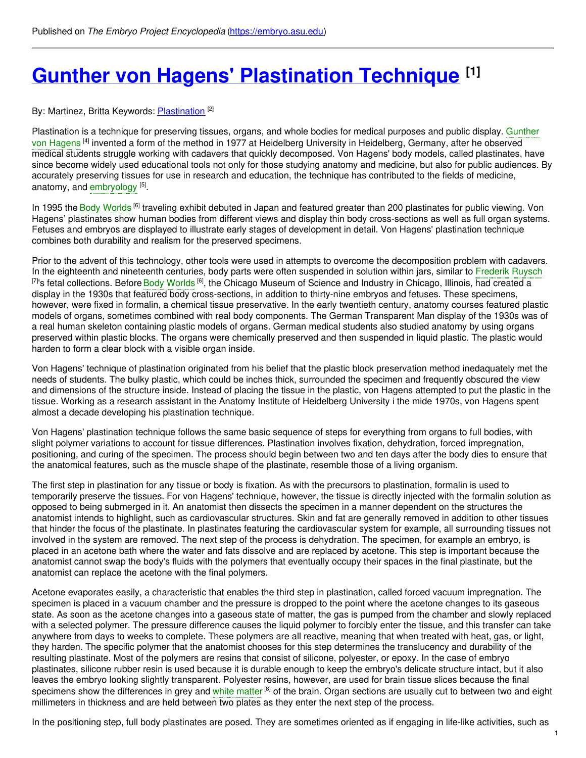# **Gunther von Hagens' [Plastination](https://embryo.asu.edu/pages/gunther-von-hagens-plastination-technique) Technique [1]**

By: Martinez, Britta Keywords: **[Plastination](https://embryo.asu.edu/keywords/plastination)** [2]

Plastination is a technique for preserving tissues, organs, and whole bodies for medical purposes and public display. Gunther von Hagens <sup>[4]</sup> invented a form of the method in 1977 at Heidelberg University in [Heidelberg,](https://embryo.asu.edu/search?text=Gunther%20von%20Hagens) Germany, after he observed medical students struggle working with cadavers that quickly decomposed. Von Hagens' body models, called plastinates, have since become widely used educational tools not only for those studying anatomy and medicine, but also for public audiences. By accurately preserving tissues for use in research and education, the technique has contributed to the fields of medicine, anatomy, and [embryology](https://embryo.asu.edu/search?text=embryology) [5].

In 1995 the Body [Worlds](https://embryo.asu.edu/search?text=Body%20Worlds) <sup>[6]</sup> traveling exhibit debuted in Japan and featured greater than 200 plastinates for public viewing. Von Hagens' plastinates show human bodies from different views and display thin body cross-sections as well as full organ systems. Fetuses and embryos are displayed to illustrate early stages of development in detail. Von Hagens' plastination technique combines both durability and realism for the preserved specimens.

Prior to the advent of this technology, other tools were used in attempts to overcome the decomposition problem with cadavers. In the eighteenth and nineteenth centuries, body parts were often suspended in solution within jars, similar to [Frederik](https://embryo.asu.edu/search?text=Frederik%20Ruysch) Ruysch <sup>[7]</sup>'s fetal collections. Before Body [Worlds](https://embryo.asu.edu/search?text=Body%20Worlds) <sup>[6]</sup>, the Chicago Museum of Science and Industry in Chicago, Illinois, had created a display in the 1930s that featured body cross-sections, in addition to thirty-nine embryos and fetuses. These specimens, however, were fixed in formalin, a chemical tissue preservative. In the early twentieth century, anatomy courses featured plastic models of organs, sometimes combined with real body components. The German Transparent Man display of the 1930s was of a real human skeleton containing plastic models of organs. German medical students also studied anatomy by using organs preserved within plastic blocks. The organs were chemically preserved and then suspended in liquid plastic. The plastic would harden to form a clear block with a visible organ inside.

Von Hagens' technique of plastination originated from his belief that the plastic block preservation method inedaquately met the needs of students. The bulky plastic, which could be inches thick, surrounded the specimen and frequently obscured the view and dimensions of the structure inside. Instead of placing the tissue in the plastic, von Hagens attempted to put the plastic in the tissue. Working as a research assistant in the Anatomy Institute of Heidelberg University i the mide 1970s, von Hagens spent almost a decade developing his plastination technique.

Von Hagens' plastination technique follows the same basic sequence of steps for everything from organs to full bodies, with slight polymer variations to account for tissue differences. Plastination involves fixation, dehydration, forced impregnation, positioning, and curing of the specimen. The process should begin between two and ten days after the body dies to ensure that the anatomical features, such as the muscle shape of the plastinate, resemble those of a living organism.

The first step in plastination for any tissue or body is fixation. As with the precursors to plastination, formalin is used to temporarily preserve the tissues. For von Hagens' technique, however, the tissue is directly injected with the formalin solution as opposed to being submerged in it. An anatomist then dissects the specimen in a manner dependent on the structures the anatomist intends to highlight, such as cardiovascular structures. Skin and fat are generally removed in addition to other tissues that hinder the focus of the plastinate. In plastinates featuring the cardiovascular system for example, all surrounding tissues not involved in the system are removed. The next step of the process is dehydration. The specimen, for example an embryo, is placed in an acetone bath where the water and fats dissolve and are replaced by acetone. This step is important because the anatomist cannot swap the body's fluids with the polymers that eventually occupy their spaces in the final plastinate, but the anatomist can replace the acetone with the final polymers.

Acetone evaporates easily, a characteristic that enables the third step in plastination, called forced vacuum impregnation. The specimen is placed in a vacuum chamber and the pressure is dropped to the point where the acetone changes to its gaseous state. As soon as the acetone changes into a gaseous state of matter, the gas is pumped from the chamber and slowly replaced with a selected polymer. The pressure difference causes the liquid polymer to forcibly enter the tissue, and this transfer can take anywhere from days to weeks to complete. These polymers are all reactive, meaning that when treated with heat, gas, or light, they harden. The specific polymer that the anatomist chooses for this step determines the translucency and durability of the resulting plastinate. Most of the polymers are resins that consist of silicone, polyester, or epoxy. In the case of embryo plastinates, silicone rubber resin is used because it is durable enough to keep the embryo's delicate structure intact, but it also leaves the embryo looking slightly transparent. Polyester resins, however, are used for brain tissue slices because the final specimens show the differences in grey and white [matter](https://embryo.asu.edu/search?text=white%20matter) [8] of the brain. Organ sections are usually cut to between two and eight millimeters in thickness and are held between two plates as they enter the next step of the process.

In the positioning step, full body plastinates are posed. They are sometimes oriented as if engaging in life-like activities, such as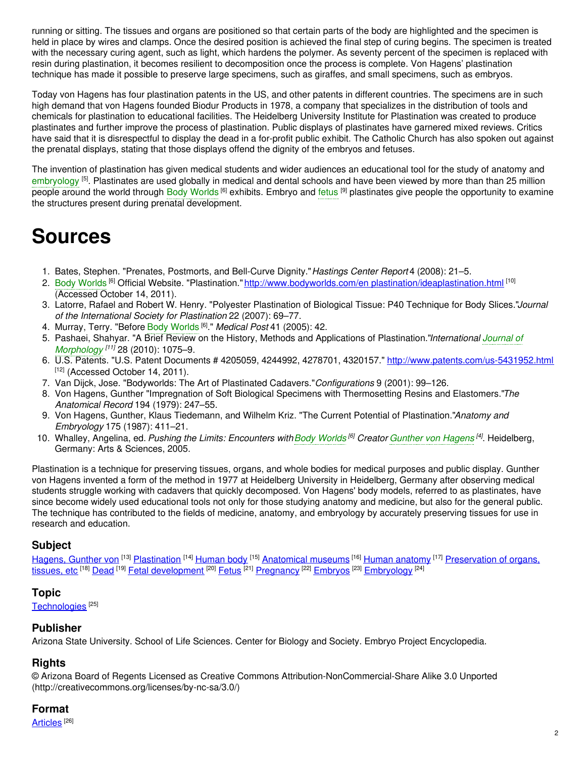running or sitting. The tissues and organs are positioned so that certain parts of the body are highlighted and the specimen is held in place by wires and clamps. Once the desired position is achieved the final step of curing begins. The specimen is treated with the necessary curing agent, such as light, which hardens the polymer. As seventy percent of the specimen is replaced with resin during plastination, it becomes resilient to decomposition once the process is complete. Von Hagens' plastination technique has made it possible to preserve large specimens, such as giraffes, and small specimens, such as embryos.

Today von Hagens has four plastination patents in the US, and other patents in different countries. The specimens are in such high demand that von Hagens founded Biodur Products in 1978, a company that specializes in the distribution of tools and chemicals for plastination to educational facilities. The Heidelberg University Institute for Plastination was created to produce plastinates and further improve the process of plastination. Public displays of plastinates have garnered mixed reviews. Critics have said that it is disrespectful to display the dead in a for-profit public exhibit. The Catholic Church has also spoken out against the prenatal displays, stating that those displays offend the dignity of the embryos and fetuses.

The invention of plastination has given medical students and wider audiences an educational tool for the study of anatomy and [embryology](https://embryo.asu.edu/search?text=embryology) <sup>[5]</sup>. Plastinates are used globally in medical and dental schools and have been viewed by more than than 25 million people around the world through Body [Worlds](https://embryo.asu.edu/search?text=Body%20Worlds) <sup>[6]</sup> exhibits. Embryo and [fetus](https://embryo.asu.edu/search?text=fetus) <sup>[9]</sup> plastinates give people the opportunity to examine the structures present during prenatal development.

## **Sources**

- 1. Bates, Stephen. "Prenates, Postmorts, and Bell-Curve Dignity."*Hastings Center Report* 4 (2008): 21–5.
- 2. Body [Worlds](https://embryo.asu.edu/search?text=Body%20Worlds) <sup>[6]</sup> Official Website. "Plastination." <u>http://www.bodyworlds.com/en [plastination/ideaplastination.html](http://www.bodyworlds.com/en%20plastination/ideaplastination.html)</u> <sup>[10]</sup> (Accessed October 14, 2011).
- 3. Latorre, Rafael and Robert W. Henry. "Polyester Plastination of Biological Tissue: P40 Technique for Body Slices."*Journal of the International Society for Plastination* 22 (2007): 69–77.
- 4. Murray, Terry. "Before Body [Worlds](https://embryo.asu.edu/search?text=Body%20Worlds) [6] ." *Medical Post* 41 (2005): 42.
- 5. Pashaei, Shahyar. "A Brief Review on the History, Methods and Applications of [Plastination."](https://embryo.asu.edu/search?text=Journal%20of%20Morphology)*International Journal of Morphology [11]* 28 (2010): 1075–9.
- 6. U.S. Patents. "U.S. Patent Documents # 4205059, 4244992, 4278701, 4320157." <http://www.patents.com/us-5431952.html>  $[12]$  (Accessed October 14, 2011).
- 7. Van Dijck, Jose. "Bodyworlds: The Art of Plastinated Cadavers."*Configurations* 9 (2001): 99–126.
- 8. Von Hagens, Gunther "Impregnation of Soft Biological Specimens with Thermosetting Resins and Elastomers."*The Anatomical Record* 194 (1979): 247–55.
- 9. Von Hagens, Gunther, Klaus Tiedemann, and Wilhelm Kriz. "The Current Potential of Plastination."*Anatomy and Embryology* 175 (1987): 411–21.
- 10. Whalley, Angelina, ed. *Pushing the Limits: Encounters withBody [Worlds](https://embryo.asu.edu/search?text=Body%20Worlds) [6] Creator [Gunther](https://embryo.asu.edu/search?text=Gunther%20von%20Hagens) von Hagens [4]* . Heidelberg, Germany: Arts & Sciences, 2005.

Plastination is a technique for preserving tissues, organs, and whole bodies for medical purposes and public display. Gunther von Hagens invented a form of the method in 1977 at Heidelberg University in Heidelberg, Germany after observing medical students struggle working with cadavers that quickly decomposed. Von Hagens' body models, referred to as plastinates, have since become widely used educational tools not only for those studying anatomy and medicine, but also for the general public. The technique has contributed to the fields of medicine, anatomy, and embryology by accurately preserving tissues for use in research and education.

## **Subject**

[Hagens,](https://embryo.asu.edu/library-congress-subject-headings/hagens-gunther-von) Gunther von <sup>[13]</sup> [Plastination](https://embryo.asu.edu/library-congress-subject-headings/plastination) <sup>[14]</sup> [Human](https://embryo.asu.edu/library-congress-subject-headings/human-body) body <sup>[15]</sup> [Anatomical](https://embryo.asu.edu/library-congress-subject-headings/anatomical-museums) museums <sup>[16]</sup> Human [anatomy](https://embryo.asu.edu/library-congress-subject-headings/human-anatomy) <sup>[17]</sup> [Preservation](https://embryo.asu.edu/library-congress-subject-headings/preservation-organs-tissues-etc) of organs, <u>tissues, etc [18] [Dead](https://embryo.asu.edu/library-congress-subject-headings/dead) [19] Fetal [development](https://embryo.asu.edu/library-congress-subject-headings/fetal-development)</u> [20] <u>[Fetus](https://embryo.asu.edu/library-congress-subject-headings/fetus)</u> [21] <u>[Pregnancy](https://embryo.asu.edu/library-congress-subject-headings/pregnancy)</u> [22] <u>[Embryos](https://embryo.asu.edu/library-congress-subject-headings/embryos)</u> [23] <u>[Embryology](https://embryo.asu.edu/library-congress-subject-headings/embryology)</u> [24]

## **Topic**

<u>[Technologies](https://embryo.asu.edu/topics/technologies)</u>  $^{[25]}$ 

## **Publisher**

Arizona State University. School of Life Sciences. Center for Biology and Society. Embryo Project Encyclopedia.

## **Rights**

© Arizona Board of Regents Licensed as Creative Commons Attribution-NonCommercial-Share Alike 3.0 Unported (http://creativecommons.org/licenses/by-nc-sa/3.0/)

## **Format**